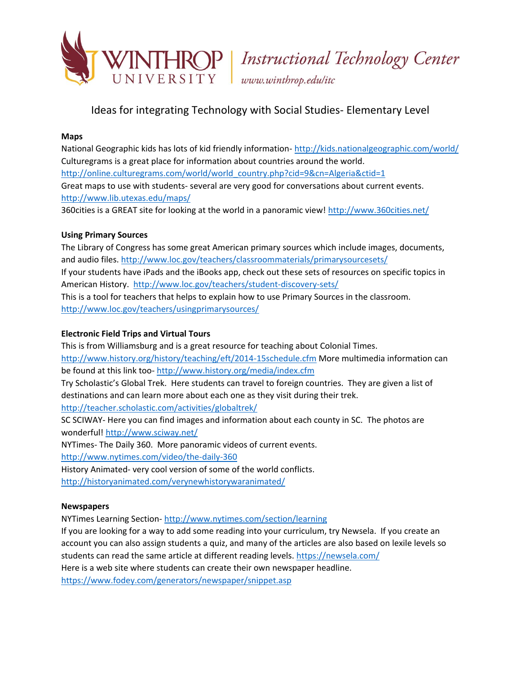

# Ideas for integrating Technology with Social Studies- Elementary Level

#### **Maps**

National Geographic kids has lots of kid friendly information- <http://kids.nationalgeographic.com/world/> Culturegrams is a great place for information about countries around the world. [http://online.culturegrams.com/world/world\\_country.php?cid=9&cn=Algeria&ctid=1](http://online.culturegrams.com/world/world_country.php?cid=9&cn=Algeria&ctid=1) Great maps to use with students- several are very good for conversations about current events. <http://www.lib.utexas.edu/maps/>

360cities is a GREAT site for looking at the world in a panoramic view!<http://www.360cities.net/>

# **Using Primary Sources**

The Library of Congress has some great American primary sources which include images, documents, and audio files.<http://www.loc.gov/teachers/classroommaterials/primarysourcesets/> If your students have iPads and the iBooks app, check out these sets of resources on specific topics in American History. <http://www.loc.gov/teachers/student-discovery-sets/> This is a tool for teachers that helps to explain how to use Primary Sources in the classroom. <http://www.loc.gov/teachers/usingprimarysources/>

# **Electronic Field Trips and Virtual Tours**

This is from Williamsburg and is a great resource for teaching about Colonial Times. <http://www.history.org/history/teaching/eft/2014-15schedule.cfm> More multimedia information can be found at this link too- <http://www.history.org/media/index.cfm> Try Scholastic's Global Trek. Here students can travel to foreign countries. They are given a list of destinations and can learn more about each one as they visit during their trek. <http://teacher.scholastic.com/activities/globaltrek/> SC SCIWAY- Here you can find images and information about each county in SC. The photos are wonderful!<http://www.sciway.net/> NYTimes- The Daily 360. More panoramic videos of current events. <http://www.nytimes.com/video/the-daily-360> History Animated- very cool version of some of the world conflicts. <http://historyanimated.com/verynewhistorywaranimated/>

# **Newspapers**

NYTimes Learning Section- <http://www.nytimes.com/section/learning>

If you are looking for a way to add some reading into your curriculum, try Newsela. If you create an account you can also assign students a quiz, and many of the articles are also based on lexile levels so students can read the same article at different reading levels.<https://newsela.com/>

Here is a web site where students can create their own newspaper headline.

<https://www.fodey.com/generators/newspaper/snippet.asp>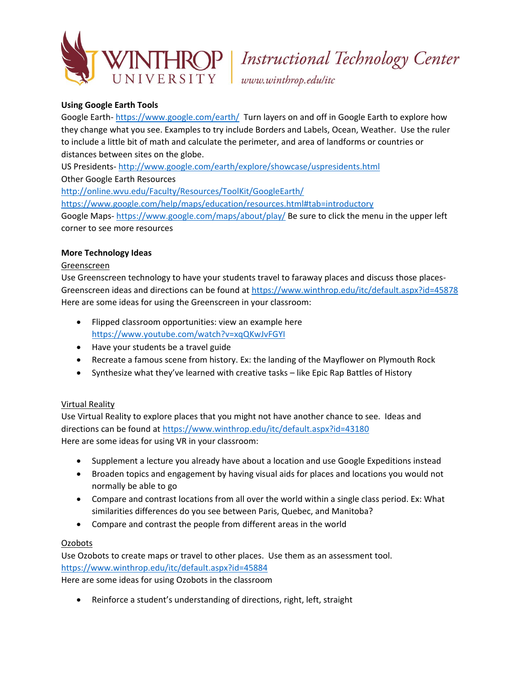

# HROP | Instructional Technology Center

### **Using Google Earth Tools**

Google Earth- <https://www.google.com/earth/>Turn layers on and off in Google Earth to explore how they change what you see. Examples to try include Borders and Labels, Ocean, Weather. Use the ruler to include a little bit of math and calculate the perimeter, and area of landforms or countries or distances between sites on the globe.

US Presidents- <http://www.google.com/earth/explore/showcase/uspresidents.html>

Other Google Earth Resources

<http://online.wvu.edu/Faculty/Resources/ToolKit/GoogleEarth/>

<https://www.google.com/help/maps/education/resources.html#tab=introductory>

Google Maps- <https://www.google.com/maps/about/play/> Be sure to click the menu in the upper left corner to see more resources

#### **More Technology Ideas**

#### Greenscreen

Use Greenscreen technology to have your students travel to faraway places and discuss those places-Greenscreen ideas and directions can be found at<https://www.winthrop.edu/itc/default.aspx?id=45878> Here are some ideas for using the Greenscreen in your classroom:

- Flipped classroom opportunities: view an example here <https://www.youtube.com/watch?v=xqQKwJvFGYI>
- Have your students be a travel guide
- Recreate a famous scene from history. Ex: the landing of the Mayflower on Plymouth Rock
- Synthesize what they've learned with creative tasks like Epic Rap Battles of History

# Virtual Reality

Use Virtual Reality to explore places that you might not have another chance to see. Ideas and directions can be found at<https://www.winthrop.edu/itc/default.aspx?id=43180> Here are some ideas for using VR in your classroom:

- Supplement a lecture you already have about a location and use Google Expeditions instead
- Broaden topics and engagement by having visual aids for places and locations you would not normally be able to go
- Compare and contrast locations from all over the world within a single class period. Ex: What similarities differences do you see between Paris, Quebec, and Manitoba?
- Compare and contrast the people from different areas in the world

# **Ozobots**

Use Ozobots to create maps or travel to other places. Use them as an assessment tool. <https://www.winthrop.edu/itc/default.aspx?id=45884>

Here are some ideas for using Ozobots in the classroom

Reinforce a student's understanding of directions, right, left, straight